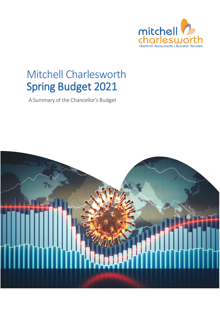

## Mitchell Charlesworth Spring Budget 2021

A Summary of the Chancellor's Budget

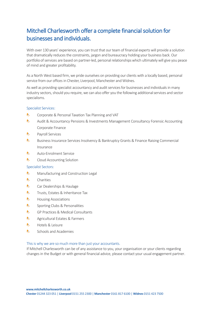### Mitchell Charlesworth offer a complete financial solution for businesses and individuals.

With over 130 years' experience, you can trust that our team of financial experts will provide a solution that dramatically reducesthe constraints, jargon and bureaucracy holding your business back. Our portfolio of services are based on partner-led, personal relationships which ultimately will give you peace of mind and greater profitability.

As a North West based firm, we pride ourselves on providing our clients with a locally based, personal service from our offices in Chester, Liverpool, Manchester and Widnes.

As well as providing specialist accountancy and audit services for businesses and individuals in many industry sectors, should you require, we can also offer you the following additional services and sector specialisms.

### Specialist Services:

- ħ Corporate & Personal Taxation Tax Planning and VAT
- N Audit & Accountancy Pensions & Investments Management Consultancy Forensic Accounting Corporate Finance
- h. Payroll Services
- ħ Business Insurance Services Insolvency & Bankruptcy Grants & Finance Raising Commercial Insurance
- A Auto-Enrolment Service
- ĥ. Cloud Accounting Solution

### Specialist Sectors:

- ħ Manufacturing and Construction Legal
- b Charities
- Car Dealerships & Haulage ħ
- N Trusts, Estates & Inheritance Tax
- ħ Housing Associations
- ĥ. Sporting Clubs & Personalities
- b GP Practices & Medical Consultants
- ĥ. Agricultural Estates & Farmers
- ħ Hotels & Leisure
- ĥ. Schools and Academies

### This is why we are so much more than just your accountants.

If Mitchell Charlesworth can be of any assistance to you, your organisation or your clients regarding changes in the Budget or with general financial advice, please contact your usual engagement partner.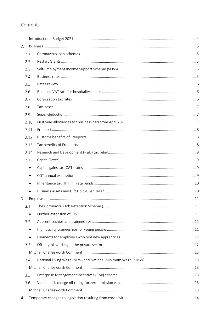### Contents

| 1. |           |  |
|----|-----------|--|
| 2. |           |  |
|    | 2.1       |  |
|    | 2.2       |  |
|    | 2.3       |  |
|    | 2.4       |  |
|    | 2.5       |  |
|    | 2.6       |  |
|    | 2.7       |  |
|    | 2.8       |  |
|    | 2.9       |  |
|    | 2.10      |  |
|    | 2.11      |  |
|    | 2.12      |  |
|    | 2.13      |  |
|    | 2.14      |  |
|    | 2.15      |  |
|    | $\bullet$ |  |
|    | $\bullet$ |  |
|    | $\bullet$ |  |
|    | $\bullet$ |  |
| 3. |           |  |
|    | 3.1       |  |
|    | $\bullet$ |  |
|    | 3.2       |  |
|    | $\bullet$ |  |
|    | $\bullet$ |  |
|    | 3.3       |  |
|    |           |  |
|    | 3.4       |  |
|    |           |  |
|    | 3.5       |  |
|    | 3.6       |  |
|    |           |  |
| 4. |           |  |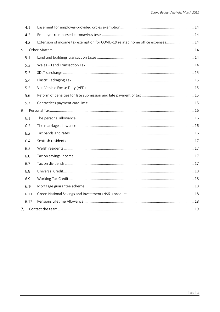| 4.1  |                                                                                |  |  |
|------|--------------------------------------------------------------------------------|--|--|
| 4.2  |                                                                                |  |  |
| 4.3  | Extension of income tax exemption for COVID-19 related home office expenses 14 |  |  |
|      |                                                                                |  |  |
| 5.1  |                                                                                |  |  |
| 5.2  |                                                                                |  |  |
| 5.3  |                                                                                |  |  |
| 5.4  |                                                                                |  |  |
| 5.5  |                                                                                |  |  |
| 5.6  |                                                                                |  |  |
| 5.7  |                                                                                |  |  |
|      |                                                                                |  |  |
| 6.1  |                                                                                |  |  |
| 6.2  |                                                                                |  |  |
| 6.3  |                                                                                |  |  |
| 6.4  |                                                                                |  |  |
| 6.5  |                                                                                |  |  |
| 6.6  |                                                                                |  |  |
| 6.7  |                                                                                |  |  |
| 6.8  |                                                                                |  |  |
| 6.9  |                                                                                |  |  |
| 6.10 |                                                                                |  |  |
| 6.11 |                                                                                |  |  |
| 6.12 |                                                                                |  |  |
| 7.   |                                                                                |  |  |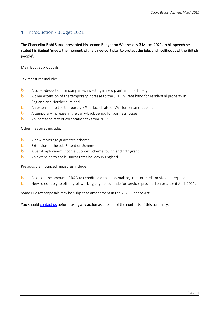### <span id="page-4-0"></span>1. Introduction - Budget 2021

The Chancellor Rishi Sunak presented his second Budget on Wednesday 3 March 2021. In his speech he stated his Budget 'meets the moment with a three-part plan to protect the jobs and livelihoods of the British people'.

Main Budget proposals

Tax measures include:

- $\bullet$ A super-deduction for companies investing in new plant and machinery
- b. A time extension of the temporary increase to the SDLT nil rate band for residential property in England and Northern Ireland
- b An extension to the temporary 5% reduced rate of VAT for certain supplies
- $\bullet$ A temporary increase in the carry-back period for business losses
- $\bullet$ An increased rate of corporation tax from 2023.

Other measures include:

- $\bullet$ A new mortgage guarantee scheme
- b. Extension to the Job Retention Scheme
- $\bullet$ A Self-Employment Income Support Scheme fourth and fifth grant
- $\bullet$ An extension to the business rates holiday in England.

Previously announced measures include:

- $\bullet$ A cap on the amount of R&D tax credit paid to a loss-making small or medium-sized enterprise
- $\bullet$ New rules apply to off-payroll working payments made for services provided on or after 6 April 2021.

Some Budget proposals may be subject to amendment in the 2021 Finance Act.

### You should [contact us](#page-19-0) before taking any action as a result of the contents of this summary.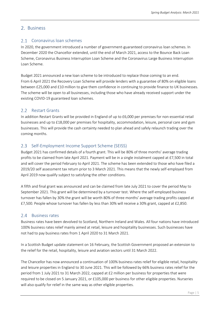### <span id="page-5-0"></span>2. Business

### <span id="page-5-1"></span>2.1 Coronavirus loan schemes

In 2020, the government introduced a number of government-guaranteed coronavirus loan schemes. In December 2020 the Chancellor extended, until the end of March 2021, access to the Bounce Back Loan Scheme, Coronavirus Business Interruption Loan Scheme and the Coronavirus Large Business Interruption Loan Scheme.

Budget 2021 announced a new loan scheme to be introduced to replace those coming to an end. From 6 April 2021 the Recovery Loan Scheme will provide lenders with a guarantee of 80% on eligible loans between £25,000 and £10 million to give them confidence in continuing to provide finance to UK businesses. The scheme will be open to all businesses, including those who have already received support under the existing COVID-19 guaranteed loan schemes.

### <span id="page-5-2"></span>2.2 Restart Grants

In addition Restart Grants will be provided in England of up to £6,000 per premises for non-essential retail businesses and up to £18,000 per premises for hospitality, accommodation, leisure, personal care and gym businesses. This will provide the cash certainty needed to plan ahead and safely relaunch trading over the coming months.

### <span id="page-5-3"></span>2.3 Self-Employment Income Support Scheme (SEISS)

Budget 2021 has confirmed details of a fourth grant. This will be 80% of three months' average trading profits to be claimed from late April 2021. Payment will be in a single instalment capped at £7,500 in total and will cover the period February to April 2021. The scheme has been extended to those who have filed a 2019/20 self assessment tax return prior to 3 March 2021. This means that the newly self-employed from April 2019 now qualify subject to satisfying the other conditions.

A fifth and final grant was announced and can be claimed from late July 2021 to cover the period May to September 2021. This grant will be determined by a turnover test. Where the self-employed business turnover has fallen by 30% the grant will be worth 80% of three months' average trading profits capped at £7,500. People whose turnover has fallen by less than 30% will receive a 30% grant, capped at £2,850.

### <span id="page-5-4"></span>2.4 Business rates

Business rates have been devolved to Scotland, Northern Ireland and Wales. All four nations have introduced 100% business rates relief mainly aimed at retail, leisure and hospitality businesses. Such businesses have not had to pay business rates from 1 April 2020 to 31 March 2021.

In a Scottish Budget update statement on 16 February, the Scottish Government proposed an extension to the relief for the retail, hospitality, leisure and aviation sectors until 31 March 2022.

The Chancellor has now announced a continuation of 100% business rates relief for eligible retail, hospitality and leisure properties in England to 30 June 2021. This will be followed by 66% business rates relief for the period from 1 July 2021 to 31 March 2022, capped at £2 million per business for properties that were required to be closed on 5 January 2021, or £105,000 per business for other eligible properties. Nurseries will also qualify for relief in the same way as other eligible properties.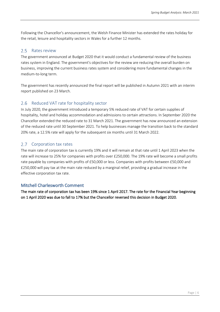Following the Chancellor's announcement, the Welsh Finance Minister has extended the rates holiday for the retail, leisure and hospitality sectors in Wales for a further 12 months.

#### <span id="page-6-0"></span> $2.5$ Rates review

The government announced at Budget 2020 that it would conduct a fundamental review of the business rates system in England. The government's objectives for the review are reducing the overall burden on business, improving the current business rates system and considering more fundamental changes in the medium-to-long term.

The government has recently announced the final report will be published in Autumn 2021 with an interim report published on 23 March.

#### <span id="page-6-1"></span>2.6 Reduced VAT rate for hospitality sector

In July 2020, the government introduced a temporary 5% reduced rate of VAT for certain supplies of hospitality, hotel and holiday accommodation and admissions to certain attractions. In September 2020 the Chancellor extended the reduced rate to 31 March 2021. The government has now announced an extension of the reduced rate until 30 September 2021. To help businesses manage the transition back to the standard 20% rate, a 12.5% rate will apply for the subsequent six months until 31 March 2022.

#### <span id="page-6-2"></span> $2.7$ Corporation tax rates

The main rate of corporation tax is currently 19% and it will remain at that rate until 1 April 2023 when the rate will increase to 25% for companies with profits over £250,000. The 19% rate will become a small profits rate payable by companies with profits of £50,000 or less. Companies with profits between £50,000 and £250,000 will pay tax at the main rate reduced by a marginal relief, providing a gradual increase in the effective corporation tax rate.

### Mitchell Charlesworth Comment

The main rate of corporation tax has been 19% since 1 April 2017. The rate for the Financial Year beginning on 1 April 2020 was due to fall to 17% but the Chancellor reversed this decision in Budget 2020.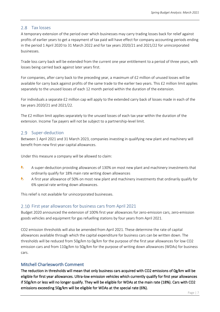### <span id="page-7-0"></span>2.8 Tax losses

A temporary extension of the period over which businesses may carry trading losses back for relief against profits of earlier years to get a repayment of tax paid will have effect for company accounting periods ending in the period 1 April 2020 to 31 March 2022 and for tax years 2020/21 and 2021/22 for unincorporated businesses.

Trade loss carry back will be extended from the current one year entitlement to a period of three years, with losses being carried back against later years first.

For companies, after carry back to the preceding year, a maximum of £2 million of unused losses will be available for carry back against profits of the same trade to the earlier two years. This £2 million limit applies separately to the unused losses of each 12 month period within the duration of the extension.

For individuals a separate £2 million cap will apply to the extended carry back of losses made in each of the tax years 2020/21 and 2021/22.

The £2 million limit applies separately to the unused losses of each tax year within the duration of the extension. Income Tax payers will not be subject to a partnership-level limit.

### <span id="page-7-1"></span>2.9 Super-deduction

Between 1 April 2021 and 31 March 2023, companies investing in qualifying new plant and machinery will benefit from new first year capital allowances.

Under this measure a company will be allowed to claim:

- $\bullet$ A super-deduction providing allowances of 130% on most new plant and machinery investments that ordinarily qualify for 18% main rate writing down allowances
- b A first year allowance of 50% on most new plant and machinery investments that ordinarily qualify for 6% special rate writing down allowances.

This relief is not available for unincorporated businesses.

### <span id="page-7-2"></span>2.10 First year allowances for business cars from April 2021

Budget 2020 announced the extension of 100% first year allowances for zero-emission cars, zero-emission goods vehicles and equipment for gas refuelling stations by four years from April 2021.

CO2 emission thresholds will also be amended from April 2021. These determine the rate of capital allowances available through which the capital expenditure for business cars can be written down. The thresholds will be reduced from 50g/km to 0g/km for the purpose of the first year allowances for low CO2 emission cars and from 110g/km to 50g/km for the purpose of writing down allowances (WDAs) for business cars.

### Mitchell Charlesworth Comment

The reduction in thresholds will mean that only business cars acquired with CO2 emissions of 0g/km will be eligible for first year allowances. Ultra-low emission vehicles which currently qualify for first year allowances if 50g/km or less will no longer qualify. They will be eligible for WDAs at the main rate (18%). Cars with CO2 emissions exceeding 50g/km will be eligible for WDAs at the special rate (6%).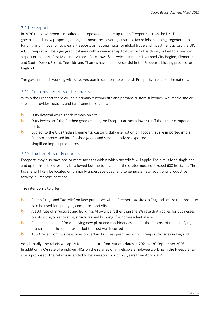### <span id="page-8-0"></span>2.11 Freeports

In 2020 the government consulted on proposals to create up to ten Freeports across the UK. The government is now proposing a range of measures covering customs, tax reliefs, planning, regeneration funding and innovation to create Freeports as national hubs for global trade and investment across the UK. A UK Freeport will be a geographical area with a diameter up to 45km which is closely linked to a sea port, airport or rail port. East Midlands Airport, Felixstowe & Harwich, Humber, Liverpool City Region, Plymouth and South Devon, Solent, Teesside and Thames have been successful in the Freeports bidding process for England.

The government is working with devolved administrations to establish Freeports in each of the nations.

### <span id="page-8-1"></span>2.12 Customs benefits of Freeports

Within the Freeport there will be a primary customs site and perhaps custom subzones. A customs site or subzone provides customs and tariff benefits such as:

- $\bullet$ Duty deferral while goods remain on site
- b Duty inversion if the finished goods exiting the Freeport attract a lower tariff than their component parts
- b Subject to the UK's trade agreements, customs duty exemption on goods that are imported into a Freeport, processed into finished goods and subsequently re-exported simplified import procedures.

### <span id="page-8-2"></span>2.13 Tax benefits of Freeports

Freeports may also have one or more tax sites within which tax reliefs will apply. The aim is for a single site and up to three tax sites may be allowed but the total area of the site(s) must not exceed 600 hectares. The tax site will likely be located on primarily underdeveloped land to generate new, additional productive activity in Freeport locations.

The intention is to offer:

- $\bullet$ Stamp Duty Land Tax relief on land purchases within Freeport tax sites in England where that property is to be used for qualifying commercial activity
- b A 10% rate of Structures and Buildings Allowance rather than the 3% rate that applies for businesses constructing or renovating structures and buildings for non-residential use
- b Enhanced tax relief for qualifying new plant and machinery assets for the full cost of the qualifying investment in the same tax period the cost was incurred
- h. 100% relief from business rates on certain business premises within Freeport tax sites in England.

Very broadly, the reliefs will apply for expenditure from various dates in 2021 to 30 September 2026. In addition, a 0% rate of employer NICs on the salaries of any eligible employee working in the Freeport tax site is proposed. The relief is intended to be available for up to 9 years from April 2022.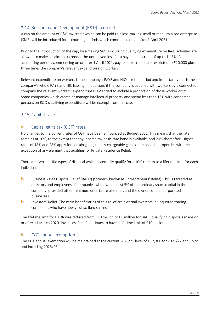### <span id="page-9-0"></span>2.14 Research and Development (R&D) tax relief

A cap on the amount of R&D tax credit which can be paid to a loss-making small or medium-sized enterprise (SME) will be introduced for accounting periods which commence on or after 1 April 2021.

Prior to the introduction of the cap, loss-making SMEs incurring qualifying expenditure on R&D activities are allowed to make a claim to surrender the unrelieved loss for a payable tax credit of up to 14.5%. For accounting periods commencing on or after 1 April 2021, payable tax credits are restricted to £20,000 plus three times the company's relevant expenditure on workers.

Relevant expenditure on workers is the company's PAYE and NICs for the period and importantly this is the company's whole PAYE and NIC liability. In addition, if the company is supplied with workers by a connected company the relevant workers' expenditure is extended to include a proportion of those worker costs. Some companies which create or manage intellectual property and spend less than 15% with connected persons on R&D qualifying expenditure will be exempt from this cap.

### <span id="page-9-1"></span>2.15 Capital Taxes

#### <span id="page-9-2"></span>A. Capital gains tax (CGT) rates

No changes to the current rates of CGT have been announced at Budget 2021. This means that the rate remains at 10%, to the extent that any income tax basic rate band is available, and 20% thereafter. Higher rates of 18% and 28% apply for certain gains; mainly chargeable gains on residential properties with the exception of any element that qualifies for Private Residence Relief.

There are two specific types of disposal which potentially qualify for a 10% rate up to a lifetime limit for each individual:

- $\bullet$ Business Asset Disposal Relief (BADR) (formerly known as Entrepreneurs' Relief). This is targeted at directors and employees of companies who own at least 5% of the ordinary share capital in the company, provided other minimum criteria are also met, and the owners of unincorporated businesses
- ħ Investors' Relief. The main beneficiaries of this relief are external investors in unquoted trading companies who have newly-subscribed shares.

The lifetime limit for BADR was reduced from £10 million to £1 million for BADR qualifying disposals made on or after 11 March 2020. Investors' Relief continues to have a lifetime limit of £10 million.

#### <span id="page-9-3"></span>Ŷ. CGT annual exemption

The CGT annual exemption will be maintained at the current 2020/21 level of £12,300 for 2021/22 and up to and including 2025/26.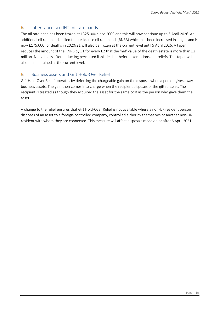#### <span id="page-10-0"></span>Inheritance tax (IHT) nil rate bands **A**

The nil rate band has been frozen at £325,000 since 2009 and this will now continue up to 5 April 2026. An additional nil rate band, called the 'residence nil rate band' (RNRB) which has been increased in stages and is now £175,000 for deaths in 2020/21 will also be frozen at the current level until 5 April 2026. A taper reduces the amount of the RNRB by £1 for every £2 that the 'net' value of the death estate is more than £2 million. Net value is after deducting permitted liabilities but before exemptions and reliefs. This taper will also be maintained at the current level.

#### <span id="page-10-1"></span>Business assets and Gift Hold-Over Relief Ŷ.

Gift Hold-Over Relief operates by deferring the chargeable gain on the disposal when a person gives away business assets. The gain then comes into charge when the recipient disposes of the gifted asset. The recipient is treated as though they acquired the asset for the same cost as the person who gave them the asset.

A change to the relief ensures that Gift Hold-Over Relief is not available where a non-UK resident person disposes of an asset to a foreign-controlled company, controlled either by themselves or another non-UK resident with whom they are connected. This measure will affect disposals made on or after 6 April 2021.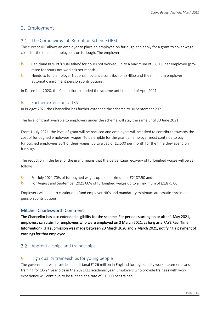### <span id="page-11-0"></span>3. Employment

#### <span id="page-11-1"></span>The Coronavirus Job Retention Scheme (JRS)  $3.1$

The current JRS allows an employer to place an employee on furlough and apply for a grant to cover wage costs for the time an employee is on furlough. The employer:

- $\bullet$ Can claim 80% of 'usual salary' for hours not worked, up to a maximum of £2,500 per employee (prorated for hours not worked) per month
- $\bullet$ Needs to fund employer National Insurance contributions (NICs) and the minimum employer automatic enrolment pension contributions.

In December 2020, the Chancellor extended the scheme until the end of April 2021.

#### <span id="page-11-2"></span>Further extension of JRS Ŷ.

In Budget 2021 the Chancellor has further extended the scheme to 30 September 2021.

The level of grant available to employers under the scheme will stay the same until 30 June 2021.

From 1 July 2021, the level of grant will be reduced and employers will be asked to contribute towards the cost of furloughed employees' wages. To be eligible for the grant an employer must continue to pay furloughed employees 80% of their wages, up to a cap of £2,500 per month for the time they spend on furlough.

The reduction in the level of the grant means that the percentage recovery of furloughed wages will be as follows:

- $\bullet$ For July 2021 70% of furloughed wages up to a maximum of £2187.50 and
- b For August and September 2021 60% of furloughed wages up to a maximum of £1,875.00.

Employers will need to continue to fund employer NICs and mandatory minimum automatic enrolment pension contributions.

### Mitchell Charlesworth Comment

The Chancellor has also extended eligibility for the scheme. For periods starting on or after 1 May 2021, employers can claim for employees who were employed on 2 March 2021, as long as a PAYE Real Time Information (RTI) submission was made between 20 March 2020 and 2 March 2021, notifying a payment of earnings for that employee.

### <span id="page-11-3"></span>Apprenticeships and traineeships

#### <span id="page-11-4"></span>h. High quality traineeships for young people

The government will provide an additional £126 million in England for high quality work placements and training for 16-24 year olds in the 2021/22 academic year. Employers who provide trainees with work experience will continue to be funded at a rate of £1,000 per trainee.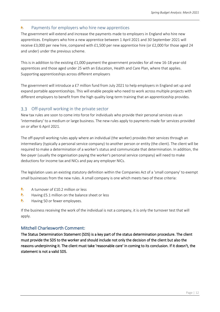#### <span id="page-12-0"></span>Payments for employers who hire new apprentices **A**

The government will extend and increase the payments made to employers in England who hire new apprentices. Employers who hire a new apprentice between 1 April 2021 and 30 September 2021 will receive £3,000 per new hire, compared with £1,500 per new apprentice hire (or £2,000 for those aged 24 and under) under the previous scheme.

This is in addition to the existing £1,000 payment the government provides for all new 16-18 year-old apprentices and those aged under 25 with an Education, Health and Care Plan, where that applies. Supporting apprenticeships across different employers

The government will introduce a £7 million fund from July 2021 to help employers in England set up and expand portable apprenticeships. This will enable people who need to work across multiple projects with different employers to benefit from the high quality long-term training that an apprenticeship provides.

### <span id="page-12-1"></span>3.3 Off-payroll working in the private sector

New tax rules are soon to come into force for individuals who provide their personal services via an 'intermediary' to a medium or large business. The new rules apply to payments made for services provided on or after 6 April 2021.

The off-payroll working rules apply where an individual (the worker) provides their services through an intermediary (typically a personal service company) to another person or entity (the client). The client will be required to make a determination of a worker's status and communicate that determination. In addition, the fee-payer (usually the organisation paying the worker's personal service company) will need to make deductions for income tax and NICs and pay any employer NICs.

The legislation uses an existing statutory definition within the Companies Act of a 'small company' to exempt small businesses from the new rules. A small company is one which meets two of these criteria:

- $\mathbf{h}$ A turnover of £10.2 million or less
- b Having £5.1 million on the balance sheet or less
- Ь. Having 50 or fewer employees.

If the business receiving the work of the individual is not a company, it is only the turnover test that will apply.

### Mitchell Charlesworth Comment:

The Status Determination Statement (SDS) is a key part of the status determination procedure. The client must provide the SDS to the worker and should include not only the decision of the client but also the reasons underpinning it. The client must take 'reasonable care' in coming to its conclusion. If it doesn't, the statement is not a valid SDS.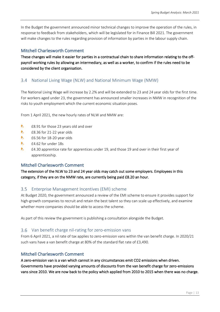In the Budget the government announced minor technical changes to improve the operation of the rules, in response to feedback from stakeholders, which will be legislated for in Finance Bill 2021. The government will make changes to the rules regarding provision of information by parties in the labour supply chain.

### <span id="page-13-0"></span>Mitchell Charlesworth Comment

These changes will make it easier for parties in a contractual chain to share information relating to the offpayroll working rules by allowing an intermediary, as well as a worker, to confirm if the rules need to be considered by the client organisation.

#### <span id="page-13-1"></span> $3.4^{\circ}$ National Living Wage (NLW) and National Minimum Wage (NMW)

The National Living Wage will increase by 2.2% and will be extended to 23 and 24 year olds for the first time. For workers aged under 23, the government has announced smaller increases in NMW in recognition of the risks to youth employment which the current economic situation poses.

From 1 April 2021, the new hourly rates of NLW and NMW are:

- $\bullet$ £8.91 for those 23 years old and over
- b. £8.36 for 21-22 year olds
- Ь. £6.56 for 18-20 year olds
- b £4.62 for under 18s
- N £4.30 apprentice rate for apprentices under 19, and those 19 and over in their first year of apprenticeship.

### <span id="page-13-2"></span>Mitchell Charlesworth Comment

The extension of the NLW to 23 and 24 year olds may catch out some employers. Employees in this category, if they are on the NMW rate, are currently being paid £8.20 an hour.

### <span id="page-13-3"></span>Enterprise Management Incentives (EMI) scheme

At Budget 2020, the government announced a review of the EMI scheme to ensure it provides support for high-growth companies to recruit and retain the best talent so they can scale up effectively, and examine whether more companies should be able to access the scheme.

As part of this review the government is publishing a consultation alongside the Budget.

### <span id="page-13-4"></span>Van benefit charge nil-rating for zero-emission vans

From 6 April 2021, a nil rate of tax applies to zero-emission vans within the van benefit charge. In 2020/21 such vans have a van benefit charge at 80% of the standard flat rate of £3,490.

### <span id="page-13-5"></span>Mitchell Charlesworth Comment

A zero-emission van is a van which cannot in any circumstances emit CO2 emissions when driven. Governments have provided varying amounts of discounts from the van benefit charge for zero-emissions vans since 2010. We are now back to the policy which applied from 2010 to 2015 when there was no charge.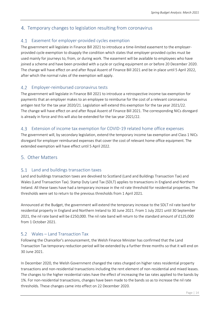### <span id="page-14-0"></span>Temporary changes to legislation resulting from coronavirus

### <span id="page-14-1"></span>4.1 Easement for employer-provided cycles exemption

The government will legislate in Finance Bill 2021 to introduce a time-limited easement to the employerprovided cycle exemption to disapply the condition which states that employer-provided cycles must be used mainly for journeys to, from, or during work. The easement will be available to employees who have joined a scheme and have been provided with a cycle or cycling equipment on or before 20 December 2020. The change will have effect on and after Royal Assent of Finance Bill 2021 and be in place until 5 April 2022, after which the normal rules of the exemption will apply.

### <span id="page-14-2"></span>Employer-reimbursed coronavirus tests

The government will legislate in Finance Bill 2021 to introduce a retrospective income tax exemption for payments that an employer makes to an employee to reimburse for the cost of a relevant coronavirus antigen test for the tax year 2020/21. Legislation will extend this exemption for the tax year 2021/22. The change will have effect on and after Royal Assent of Finance Bill 2021. The corresponding NICs disregard is already in force and this will also be extended for the tax year 2021/22.

### <span id="page-14-3"></span>Extension of income tax exemption for COVID-19 related home office expenses

The government will, by secondary legislation, extend the temporary income tax exemption and Class 1 NICs disregard for employer reimbursed expenses that cover the cost of relevant home office equipment. The extended exemption will have effect until 5 April 2022.

### <span id="page-14-4"></span>Other Matters

### <span id="page-14-5"></span>5.1 Land and buildings transaction taxes

Land and buildings transaction taxes are devolved to Scotland (Land and Buildings Transaction Tax) and Wales (Land Transaction Tax). Stamp Duty Land Tax (SDLT) applies to transactions in England and Northern Ireland. All these taxes have had a temporary increase in the nil rate threshold for residential properties. The thresholds were set to return to the previous thresholds from 1 April 2021.

Announced at the Budget, the government will extend the temporary increase to the SDLT nil rate band for residential property in England and Northern Ireland to 30 June 2021. From 1 July 2021 until 30 September 2021, the nil rate band will be £250,000. The nil rate band will return to the standard amount of £125,000 from 1 October 2021.

### <span id="page-14-6"></span>Wales – Land Transaction Tax

Following the Chancellor's announcement, the Welsh Finance Minister has confirmed that the Land Transaction Tax temporary reduction period will be extended by a further three months so that it will end on 30 June 2021.

In December 2020, the Welsh Government changed the rates charged on higher rates residential property transactions and non-residential transactions including the rent element of non-residential and mixed leases. The changes to the higher residential rates have the effect of increasing the tax rates applied to the bands by 1%. For non-residential transactions, changes have been made to the bands so as to increase the nil rate thresholds. These changes came into effect on 22 December 2020.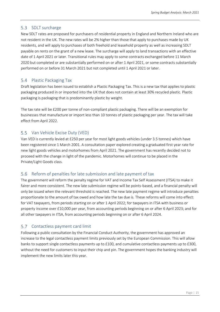### <span id="page-15-0"></span>5.3 SDLT surcharge

New SDLT rates are proposed for purchasers of residential property in England and Northern Ireland who are not resident in the UK. The new rates will be 2% higher than those that apply to purchases made by UK residents, and will apply to purchases of both freehold and leasehold property as well as increasing SDLT payable on rents on the grant of a new lease. The surcharge will apply to land transactions with an effective date of 1 April 2021 or later. Transitional rules may apply to some contracts exchanged before 11 March 2020 but completed or are substantially performed on or after 1 April 2021, or some contracts substantially performed on or before 31 March 2021 but not completed until 1 April 2021 or later.

### <span id="page-15-1"></span>5.4 Plastic Packaging Tax

Draft legislation has been issued to establish a Plastic Packaging Tax. This is a new tax that applies to plastic packaging produced in or imported into the UK that does not contain at least 30% recycled plastic. Plastic packaging is packaging that is predominantly plastic by weight.

The tax rate will be £200 per tonne of non-compliant plastic packaging. There will be an exemption for businesses that manufacture or import less than 10 tonnes of plastic packaging per year. The tax will take effect from April 2022.

### <span id="page-15-2"></span>5.5 Van Vehicle Excise Duty (VED)

Van VED is currently levied at £250 per year for most light goods vehicles (under 3.5 tonnes) which have been registered since 1 March 2001. A consultation paper explored creating a graduated first year rate for new light goods vehicles and motorhomes from April 2021. The government has recently decided not to proceed with the change in light of the pandemic. Motorhomes will continue to be placed in the Private/Light Goods class.

#### <span id="page-15-3"></span>Reform of penalties for late submission and late payment of tax 5.6

The government will reform the penalty regime for VAT and Income Tax Self Assessment (ITSA) to make it fairer and more consistent. The new late submission regime will be points-based, and a financial penalty will only be issued when the relevant threshold is reached. The new late payment regime will introduce penalties proportionate to the amount of tax owed and how late the tax due is. These reforms will come into effect: for VAT taxpayers, from periods starting on or after 1 April 2022; for taxpayers in ITSA with business or property income over £10,000 per year, from accounting periods beginning on or after 6 April 2023; and for all other taxpayers in ITSA, from accounting periods beginning on or after 6 April 2024.

### <span id="page-15-4"></span>5.7 Contactless payment card limit

Following a public consultation by the Financial Conduct Authority, the government has approved an increase to the legal contactless payment limits previously set by the European Commission. This will allow banks to support single contactless payments up to £100, and cumulative contactless payments up to £300, without the need for customers to input their chip and pin. The government hopes the banking industry will implement the new limits later this year.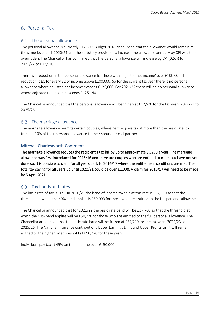### <span id="page-16-0"></span>Personal Tax

#### <span id="page-16-1"></span>The personal allowance 6.1

The personal allowance is currently £12,500. Budget 2018 announced that the allowance would remain at the same level until 2020/21 and the statutory provision to increase the allowance annually by CPI was to be overridden. The Chancellor has confirmed that the personal allowance will increase by CPI (0.5%) for 2021/22 to £12,570.

There is a reduction in the personal allowance for those with 'adjusted net income' over £100,000. The reduction is £1 for every £2 of income above £100,000. So for the current tax year there is no personal allowance where adjusted net income exceeds £125,000. For 2021/22 there will be no personal allowance where adjusted net income exceeds £125,140.

The Chancellor announced that the personal allowance will be frozen at £12,570 for the tax years 2022/23 to 2025/26.

### <span id="page-16-2"></span>6.2 The marriage allowance

The marriage allowance permits certain couples, where neither pays tax at more than the basic rate, to transfer 10% of their personal allowance to their spouse or civil partner.

### Mitchell Charlesworth Comment

The marriage allowance reduces the recipient's tax bill by up to approximately £250 a year. The marriage allowance was first introduced for 2015/16 and there are couples who are entitled to claim but have not yet done so. It is possible to claim for all years back to 2016/17 where the entitlement conditions are met. The total tax saving for all years up until 2020/21 could be over £1,000. A claim for 2016/17 will need to be made by 5 April 2021.

#### <span id="page-16-3"></span> $6.3$ Tax bands and rates

The basic rate of tax is 20%. In 2020/21 the band of income taxable at this rate is £37,500 so that the threshold at which the 40% band applies is £50,000 for those who are entitled to the full personal allowance.

The Chancellor announced that for 2021/22 the basic rate band will be £37,700 so that the threshold at which the 40% band applies will be £50,270 for those who are entitled to the full personal allowance. The Chancellor announced that the basic rate band will be frozen at £37,700 for the tax years 2022/23 to 2025/26. The National Insurance contributions Upper Earnings Limit and Upper Profits Limit will remain aligned to the higher rate threshold at £50,270 for these years.

Individuals pay tax at 45% on their income over £150,000.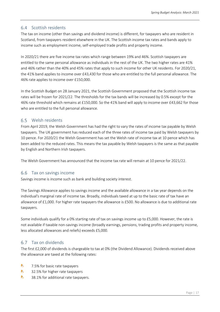### <span id="page-17-0"></span>6.4 Scottish residents

The tax on income (other than savings and dividend income) is different, for taxpayers who are resident in Scotland, from taxpayers resident elsewhere in the UK. The Scottish income tax rates and bands apply to income such as employment income, self-employed trade profits and property income.

In 2020/21 there are five income tax rates which range between 19% and 46%. Scottish taxpayers are entitled to the same personal allowance as individuals in the rest of the UK. The two higher rates are 41% and 46% rather than the 40% and 45% rates that apply to such income for other UK residents. For 2020/21, the 41% band applies to income over £43,430 for those who are entitled to the full personal allowance. The 46% rate applies to income over £150,000.

In the Scottish Budget on 28 January 2021, the Scottish Government proposed that the Scottish income tax rates will be frozen for 2021/22. The thresholds for the tax bands will be increased by 0.5% except for the 46% rate threshold which remains at £150,000. So the 41% band will apply to income over £43,662 for those who are entitled to the full personal allowance.

### <span id="page-17-1"></span>Welsh residents

From April 2019, the Welsh Government has had the right to vary the rates of income tax payable by Welsh taxpayers. The UK government has reduced each of the three rates of income tax paid by Welsh taxpayers by 10 pence. For 2020/21 the Welsh Government has set the Welsh rate of income tax at 10 pence which has been added to the reduced rates. This means the tax payable by Welsh taxpayers is the same as that payable by English and Northern Irish taxpayers.

The Welsh Government has announced that the income tax rate will remain at 10 pence for 2021/22.

### <span id="page-17-2"></span>6.6 Tax on savings income

Savings income is income such as bank and building society interest.

The Savings Allowance applies to savings income and the available allowance in a tax year depends on the individual's marginal rate of income tax. Broadly, individuals taxed at up to the basic rate of tax have an allowance of £1,000. For higher rate taxpayers the allowance is £500. No allowance is due to additional rate taxpayers.

Some individuals qualify for a 0% starting rate of tax on savings income up to £5,000. However, the rate is not available if taxable non-savings income (broadly earnings, pensions, trading profits and property income, less allocated allowances and reliefs) exceeds £5,000.

#### <span id="page-17-3"></span>6.7 Tax on dividends

The first £2,000 of dividends is chargeable to tax at 0% (the Dividend Allowance). Dividends received above the allowance are taxed at the following rates:

- b 7.5% for basic rate taxpayers
- Ь. 32.5% for higher rate taxpayers
- $\bullet$ 38.1% for additional rate taxpayers.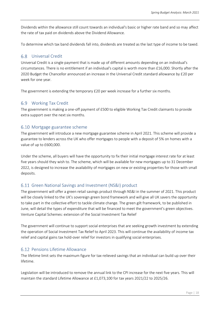Dividends within the allowance still count towards an individual's basic or higher rate band and so may affect the rate of tax paid on dividends above the Dividend Allowance.

To determine which tax band dividends fall into, dividends are treated as the last type of income to be taxed.

### <span id="page-18-0"></span>Universal Credit

Universal Credit is a single payment that is made up of different amounts depending on an individual's circumstances. There is no entitlement if an individual's capital is worth more than £16,000. Shortly after the 2020 Budget the Chancellor announced an increase in the Universal Credit standard allowance by £20 per week for one year.

The government is extending the temporary £20 per week increase for a further six months.

### <span id="page-18-1"></span>Working Tax Credit

The government is making a one-off payment of £500 to eligible Working Tax Credit claimants to provide extra support over the next six months.

### <span id="page-18-2"></span>6.10 Mortgage guarantee scheme

The government will introduce a new mortgage guarantee scheme in April 2021. This scheme will provide a guarantee to lenders across the UK who offer mortgages to people with a deposit of 5% on homes with a value of up to £600,000.

Under the scheme, all buyers will have the opportunity to fix their initial mortgage interest rate for at least five years should they wish to. The scheme, which will be available for new mortgages up to 31 December 2022, is designed to increase the availability of mortgages on new or existing properties for those with small deposits.

### <span id="page-18-3"></span>6.11 Green National Savings and Investment (NS&I) product

The government will offer a green retail savings product through NS&I in the summer of 2021. This product will be closely linked to the UK's sovereign green bond framework and will give all UK savers the opportunity to take part in the collective effort to tackle climate change. The green gilt framework, to be published in June, will detail the types of expenditure that will be financed to meet the government's green objectives. Venture Capital Schemes: extension of the Social Investment Tax Relief

The government will continue to support social enterprises that are seeking growth investment by extending the operation of Social Investment Tax Relief to April 2023. This will continue the availability of income tax relief and capital gains tax hold-over relief for investors in qualifying social enterprises.

### <span id="page-18-4"></span>6.12 Pensions Lifetime Allowance

The lifetime limit sets the maximum figure for tax-relieved savings that an individual can build up over their lifetime.

Legislation will be introduced to remove the annual link to the CPI increase for the next five years. This will maintain the standard Lifetime Allowance at £1,073,100 for tax years 2021/22 to 2025/26.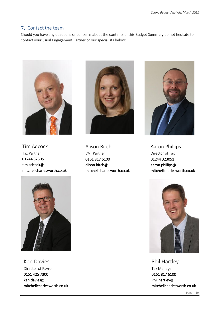### <span id="page-19-0"></span>7. Contact the team

Should you have any questions or concerns about the contents of this Budget Summary do not hesitate to contact your usual Engagement Partner or our specialists below:



Tim Adcock Tax Partner 01244 323051 tim.adcock@ mitchellcharlesworth.co.uk



Alison Birch VAT Partner 0161 817 6100 alison.birch@ mitchellcharlesworth.co.uk



Aaron Phillips Director of Tax 01244 323051 aaron.phillips@ mitchellcharlesworth.co.uk



Ken Davies Director of Payroll 0151 425 7300 ken.davies@ mitchellcharlesworth.co.uk



Phil Hartley Tax Manager 0161 817 6100 Phil.hartley@ mitchellcharlesworth.co.uk